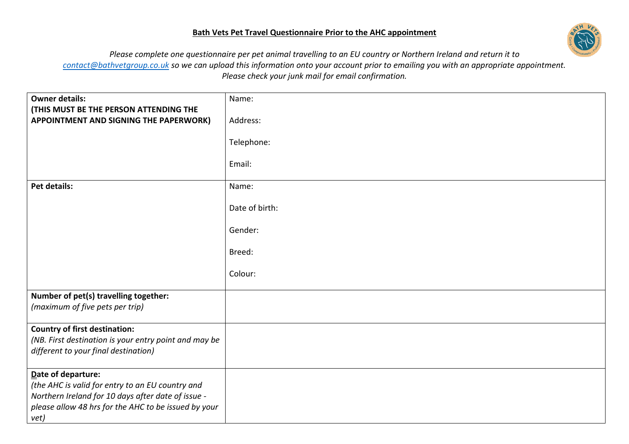## **Bath Vets Pet Travel Questionnaire Prior to the AHC appointment**



*Please complete one questionnaire per pet animal travelling to an EU country or Northern Ireland and return it to [contact@bathvetgroup.co.uk](mailto:contact@bathvetgroup.co.uk) so we can upload this information onto your account prior to emailing you with an appropriate appointment. Please check your junk mail for email confirmation.*

| <b>Owner details:</b><br>(THIS MUST BE THE PERSON ATTENDING THE                                                                                                                              | Name:          |
|----------------------------------------------------------------------------------------------------------------------------------------------------------------------------------------------|----------------|
| APPOINTMENT AND SIGNING THE PAPERWORK)                                                                                                                                                       | Address:       |
|                                                                                                                                                                                              | Telephone:     |
|                                                                                                                                                                                              | Email:         |
| Pet details:                                                                                                                                                                                 | Name:          |
|                                                                                                                                                                                              | Date of birth: |
|                                                                                                                                                                                              | Gender:        |
|                                                                                                                                                                                              | Breed:         |
|                                                                                                                                                                                              | Colour:        |
| Number of pet(s) travelling together:<br>(maximum of five pets per trip)                                                                                                                     |                |
| <b>Country of first destination:</b><br>(NB. First destination is your entry point and may be<br>different to your final destination)                                                        |                |
| Date of departure:<br>(the AHC is valid for entry to an EU country and<br>Northern Ireland for 10 days after date of issue -<br>please allow 48 hrs for the AHC to be issued by your<br>vet) |                |